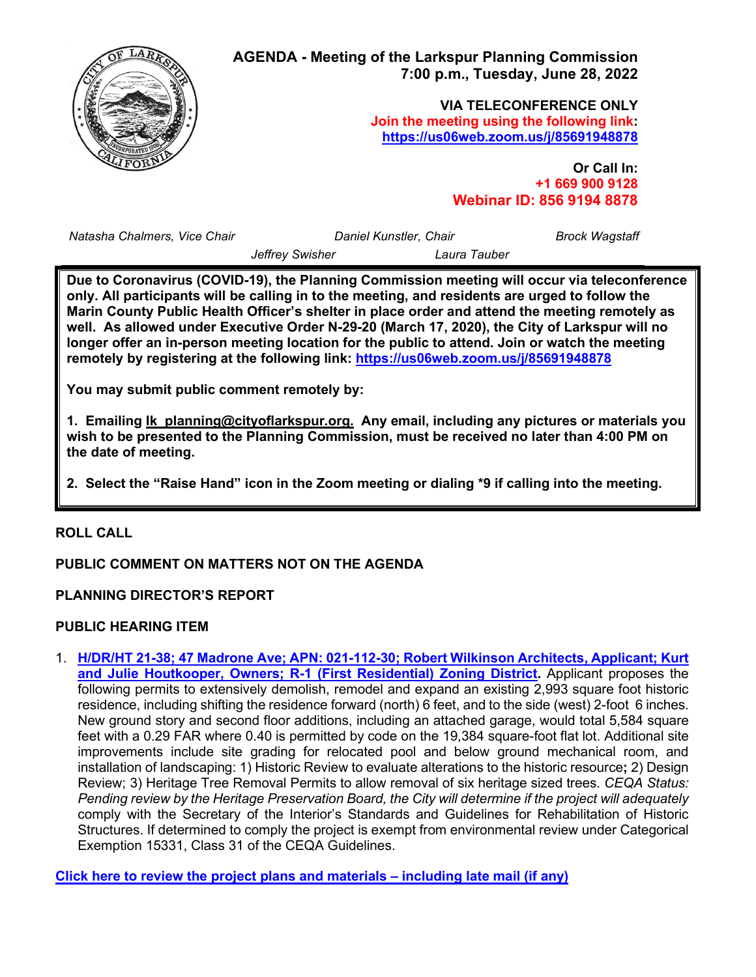

*Natasha Chalmers, Vice Chair Daniel Kunstler, Chair*

*Brock Wagstaff*

*Jeffrey Swisher Laura Tauber*

**Due to Coronavirus (COVID-19), the Planning Commission meeting will occur via teleconference only. All participants will be calling in to the meeting, and residents are urged to follow the Marin County Public Health Officer's shelter in place order and attend the meeting remotely as well. As allowed under Executive Order N-29-20 (March 17, 2020), the City of Larkspur will no longer offer an in-person meeting location for the public to attend. Join or watch the meeting remotely by registering at the following link: <https://us06web.zoom.us/j/85691948878>**

**You may submit public comment remotely by:**

**1. Emailing [lk\\_planning@cityoflarkspur.org.](mailto:lk_planning@cityoflarkspur.org) Any email, including any pictures or materials you wish to be presented to the Planning Commission, must be received no later than 4:00 PM on the date of meeting.**

**2. Select the "Raise Hand" icon in the Zoom meeting or dialing \*9 if calling into the meeting.**

# **ROLL CALL**

# **PUBLIC COMMENT ON MATTERS NOT ON THE AGENDA**

### **PLANNING DIRECTOR'S REPORT**

### **PUBLIC HEARING ITEM**

1. **[H/DR/HT 21-38; 47 Madrone Ave; APN: 021-112-30; Robert Wilkinson Architects, Applicant; Kurt](https://cityoflarkspur.org/DocumentCenter/View/15197/SR_PC_20220628_47MadroneCombined)  [and Julie Houtkooper, Owners; R-1 \(First Residential\) Zoning District.](https://cityoflarkspur.org/DocumentCenter/View/15197/SR_PC_20220628_47MadroneCombined)** Applicant proposes the following permits to extensively demolish, remodel and expand an existing 2,993 square foot historic residence, including shifting the residence forward (north) 6 feet, and to the side (west) 2-foot 6 inches. New ground story and second floor additions, including an attached garage, would total 5,584 square feet with a 0.29 FAR where 0.40 is permitted by code on the 19,384 square-foot flat lot. Additional site improvements include site grading for relocated pool and below ground mechanical room, and installation of landscaping: 1) Historic Review to evaluate alterations to the historic resource**;** 2) Design Review; 3) Heritage Tree Removal Permits to allow removal of six heritage sized trees. *CEQA Status: Pending review by the Heritage Preservation Board, the City will determine if the project will adequately*  comply with the Secretary of the Interior's Standards and Guidelines for Rehabilitation of Historic Structures. If determined to comply the project is exempt from environmental review under Categorical Exemption 15331, Class 31 of the CEQA Guidelines.

**[Click here to review the project plans and materials –](https://www.ci.larkspur.ca.us/DocumentCenter/Index/1311) including late mail (if any)**